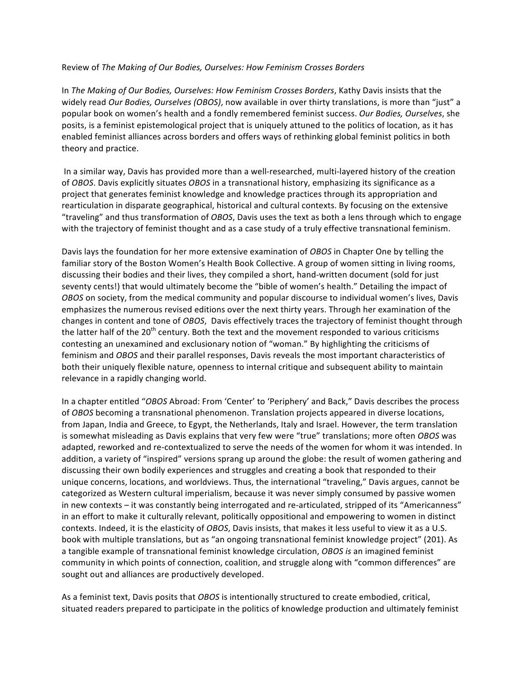## Review of The Making of Our Bodies, Ourselves: How Feminism Crosses Borders

In The Making of Our Bodies, Ourselves: How Feminism Crosses Borders, Kathy Davis insists that the widely read Our Bodies, Ourselves (OBOS), now available in over thirty translations, is more than "just" a popular book on women's health and a fondly remembered feminist success. Our Bodies, Ourselves, she posits, is a feminist epistemological project that is uniquely attuned to the politics of location, as it has enabled feminist alliances across borders and offers ways of rethinking global feminist politics in both theory and practice.

In a similar way, Davis has provided more than a well-researched, multi-layered history of the creation of *OBOS*. Davis explicitly situates *OBOS* in a transnational history, emphasizing its significance as a project that generates feminist knowledge and knowledge practices through its appropriation and rearticulation in disparate geographical, historical and cultural contexts. By focusing on the extensive "traveling" and thus transformation of *OBOS*, Davis uses the text as both a lens through which to engage with the trajectory of feminist thought and as a case study of a truly effective transnational feminism.

Davis lays the foundation for her more extensive examination of *OBOS* in Chapter One by telling the familiar story of the Boston Women's Health Book Collective. A group of women sitting in living rooms, discussing their bodies and their lives, they compiled a short, hand-written document (sold for just seventy cents!) that would ultimately become the "bible of women's health." Detailing the impact of *OBOS* on society, from the medical community and popular discourse to individual women's lives, Davis emphasizes the numerous revised editions over the next thirty years. Through her examination of the changes in content and tone of OBOS, Davis effectively traces the trajectory of feminist thought through the latter half of the  $20<sup>th</sup>$  century. Both the text and the movement responded to various criticisms contesting an unexamined and exclusionary notion of "woman." By highlighting the criticisms of feminism and OBOS and their parallel responses, Davis reveals the most important characteristics of both their uniquely flexible nature, openness to internal critique and subsequent ability to maintain relevance in a rapidly changing world.

In a chapter entitled "OBOS Abroad: From 'Center' to 'Periphery' and Back," Davis describes the process of *OBOS* becoming a transnational phenomenon. Translation projects appeared in diverse locations, from Japan, India and Greece, to Egypt, the Netherlands, Italy and Israel. However, the term translation is somewhat misleading as Davis explains that very few were "true" translations; more often OBOS was adapted, reworked and re-contextualized to serve the needs of the women for whom it was intended. In addition, a variety of "inspired" versions sprang up around the globe: the result of women gathering and discussing their own bodily experiences and struggles and creating a book that responded to their unique concerns, locations, and worldviews. Thus, the international "traveling," Davis argues, cannot be categorized as Western cultural imperialism, because it was never simply consumed by passive women in new contexts – it was constantly being interrogated and re-articulated, stripped of its "Americanness" in an effort to make it culturally relevant, politically oppositional and empowering to women in distinct contexts. Indeed, it is the elasticity of OBOS, Davis insists, that makes it less useful to view it as a U.S. book with multiple translations, but as "an ongoing transnational feminist knowledge project" (201). As a tangible example of transnational feminist knowledge circulation, OBOS *is* an imagined feminist community in which points of connection, coalition, and struggle along with "common differences" are sought out and alliances are productively developed.

As a feminist text, Davis posits that *OBOS* is intentionally structured to create embodied, critical, situated readers prepared to participate in the politics of knowledge production and ultimately feminist